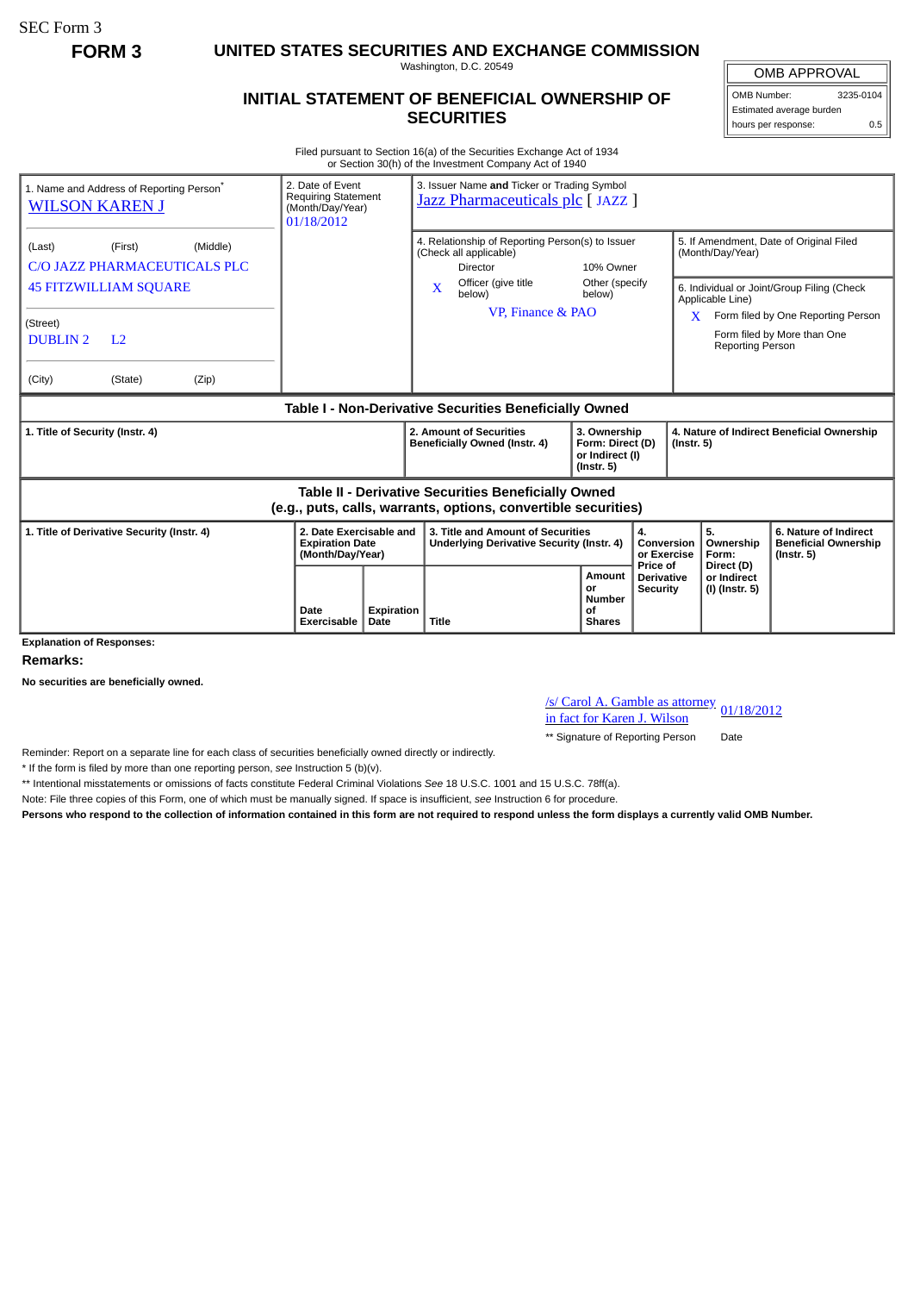SEC Form 3

**FORM 3 UNITED STATES SECURITIES AND EXCHANGE COMMISSION**

Washington, D.C. 20549

## **INITIAL STATEMENT OF BENEFICIAL OWNERSHIP OF SECURITIES**

OMB APPROVAL OMB Number: 3235-0104

Estimated average burden hours per response: 0.5

Filed pursuant to Section 16(a) of the Securities Exchange Act of 1934 or Section 30(h) of the Investment Company Act of 1940

| 2. Date of Event<br>1. Name and Address of Reporting Person <sup>®</sup><br><b>Requiring Statement</b><br><b>WILSON KAREN J</b><br>(Month/Day/Year)<br>01/18/2012 |                                                                       | 3. Issuer Name and Ticker or Trading Symbol<br>Jazz Pharmaceuticals plc [JAZZ ]                                                                          |                                                                   |                                             |                                                                                                                               |                                                                          |
|-------------------------------------------------------------------------------------------------------------------------------------------------------------------|-----------------------------------------------------------------------|----------------------------------------------------------------------------------------------------------------------------------------------------------|-------------------------------------------------------------------|---------------------------------------------|-------------------------------------------------------------------------------------------------------------------------------|--------------------------------------------------------------------------|
| (Middle)<br>(Last)<br>(First)<br>C/O JAZZ PHARMACEUTICALS PLC<br><b>45 FITZWILLIAM SQUARE</b>                                                                     |                                                                       | 4. Relationship of Reporting Person(s) to Issuer<br>(Check all applicable)<br><b>Director</b><br>Officer (give title<br>X<br>below)<br>VP, Finance & PAO | 10% Owner<br>Other (specify<br>below)                             |                                             | 5. If Amendment, Date of Original Filed<br>(Month/Day/Year)<br>6. Individual or Joint/Group Filing (Check<br>Applicable Line) |                                                                          |
| (Street)<br><b>DUBLIN2</b><br>L <sub>2</sub><br>(State)<br>(Zip)<br>(City)                                                                                        |                                                                       |                                                                                                                                                          |                                                                   | X                                           | <b>Reporting Person</b>                                                                                                       | Form filed by One Reporting Person<br>Form filed by More than One        |
|                                                                                                                                                                   |                                                                       |                                                                                                                                                          |                                                                   |                                             |                                                                                                                               |                                                                          |
| Table I - Non-Derivative Securities Beneficially Owned                                                                                                            |                                                                       |                                                                                                                                                          |                                                                   |                                             |                                                                                                                               |                                                                          |
| 1. Title of Security (Instr. 4)                                                                                                                                   |                                                                       | 2. Amount of Securities<br>Beneficially Owned (Instr. 4)                                                                                                 | 3. Ownership<br>Form: Direct (D)<br>or Indirect (I)<br>(Instr. 5) |                                             | 4. Nature of Indirect Beneficial Ownership<br>$($ Instr. 5 $)$                                                                |                                                                          |
| <b>Table II - Derivative Securities Beneficially Owned</b><br>(e.g., puts, calls, warrants, options, convertible securities)                                      |                                                                       |                                                                                                                                                          |                                                                   |                                             |                                                                                                                               |                                                                          |
| 1. Title of Derivative Security (Instr. 4)                                                                                                                        | 2. Date Exercisable and<br><b>Expiration Date</b><br>(Month/Day/Year) | 3. Title and Amount of Securities<br>Underlying Derivative Security (Instr. 4)                                                                           |                                                                   | 4.<br>Conversion<br>or Exercise<br>Price of | 5.<br>Ownership<br>Form:                                                                                                      | 6. Nature of Indirect<br><b>Beneficial Ownership</b><br>$($ lnstr. 5 $)$ |
| <b>Explanation of Responses:</b>                                                                                                                                  | Date<br>Expiration<br>Exercisable<br><b>Date</b>                      | Title                                                                                                                                                    | Amount<br>or<br><b>Number</b><br>οf<br><b>Shares</b>              | <b>Derivative</b><br><b>Security</b>        | Direct (D)<br>or Indirect<br>(I) (Instr. 5)                                                                                   |                                                                          |

**Remarks:**

**No securities are beneficially owned.**

/s/ Carol A. Gamble as attorney in fact for Karen J. Wilson 01/18/2012

\*\* Signature of Reporting Person Date

Reminder: Report on a separate line for each class of securities beneficially owned directly or indirectly.

\* If the form is filed by more than one reporting person, *see* Instruction 5 (b)(v).

\*\* Intentional misstatements or omissions of facts constitute Federal Criminal Violations *See* 18 U.S.C. 1001 and 15 U.S.C. 78ff(a).

Note: File three copies of this Form, one of which must be manually signed. If space is insufficient, *see* Instruction 6 for procedure.

**Persons who respond to the collection of information contained in this form are not required to respond unless the form displays a currently valid OMB Number.**